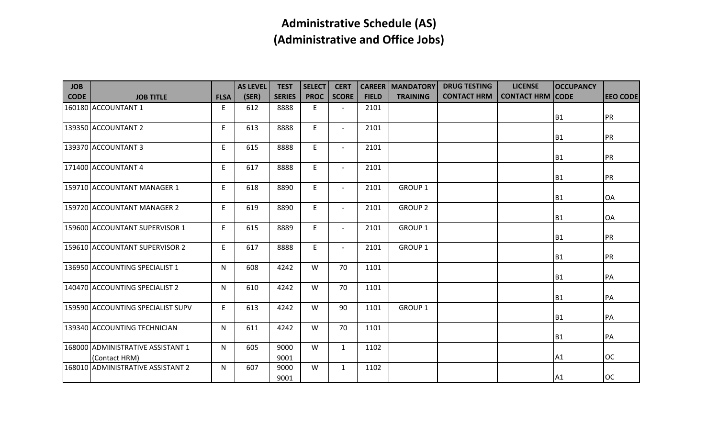| <b>JOB</b>  |                                                    |             | <b>AS LEVEL</b> | <b>TEST</b>   | <b>SELECT</b> | <b>CERT</b>              |              | <b>CAREER   MANDATORY</b> | <b>DRUG TESTING</b> | <b>LICENSE</b>          | <b>OCCUPANCY</b> |                 |
|-------------|----------------------------------------------------|-------------|-----------------|---------------|---------------|--------------------------|--------------|---------------------------|---------------------|-------------------------|------------------|-----------------|
| <b>CODE</b> | <b>JOB TITLE</b>                                   | <b>FLSA</b> | (SER)           | <b>SERIES</b> | <b>PROC</b>   | <b>SCORE</b>             | <b>FIELD</b> | <b>TRAINING</b>           | <b>CONTACT HRM</b>  | <b>CONTACT HRM CODE</b> |                  | <b>EEO CODE</b> |
|             | 160180 ACCOUNTANT 1                                | E           | 612             | 8888          | E             | $\overline{\phantom{a}}$ | 2101         |                           |                     |                         |                  |                 |
|             |                                                    |             |                 |               |               |                          |              |                           |                     |                         | B <sub>1</sub>   | <b>PR</b>       |
|             | 139350 ACCOUNTANT 2                                | E.          | 613             | 8888          | E             | $\overline{\phantom{a}}$ | 2101         |                           |                     |                         | B <sub>1</sub>   | <b>PR</b>       |
|             | 139370 ACCOUNTANT 3                                | E           | 615             | 8888          | E             | $\overline{\phantom{a}}$ | 2101         |                           |                     |                         | B <sub>1</sub>   | <b>PR</b>       |
|             | 171400 ACCOUNTANT 4                                | E           | 617             | 8888          | E             | $\overline{\phantom{a}}$ | 2101         |                           |                     |                         | B <sub>1</sub>   | <b>PR</b>       |
|             | 159710 ACCOUNTANT MANAGER 1                        | E.          | 618             | 8890          | E.            | $\overline{\phantom{a}}$ | 2101         | <b>GROUP 1</b>            |                     |                         | <b>B1</b>        | <b>OA</b>       |
|             | 159720 ACCOUNTANT MANAGER 2                        | E           | 619             | 8890          | E.            | $\overline{\phantom{a}}$ | 2101         | <b>GROUP 2</b>            |                     |                         | <b>B1</b>        | OA              |
|             | 159600 ACCOUNTANT SUPERVISOR 1                     | E.          | 615             | 8889          | E.            | $\overline{\phantom{a}}$ | 2101         | GROUP 1                   |                     |                         | <b>B1</b>        | PR              |
|             | 159610 ACCOUNTANT SUPERVISOR 2                     | E           | 617             | 8888          | E             | $\blacksquare$           | 2101         | <b>GROUP 1</b>            |                     |                         | B <sub>1</sub>   | PR              |
|             | 136950 ACCOUNTING SPECIALIST 1                     | N           | 608             | 4242          | W             | 70                       | 1101         |                           |                     |                         | B <sub>1</sub>   | <b>PA</b>       |
|             | 140470 ACCOUNTING SPECIALIST 2                     | N           | 610             | 4242          | W             | 70                       | 1101         |                           |                     |                         | B <sub>1</sub>   | PA              |
|             | 159590 ACCOUNTING SPECIALIST SUPV                  | E.          | 613             | 4242          | W             | 90                       | 1101         | <b>GROUP 1</b>            |                     |                         | <b>B1</b>        | <b>PA</b>       |
|             | 139340 ACCOUNTING TECHNICIAN                       | N           | 611             | 4242          | W             | 70                       | 1101         |                           |                     |                         | <b>B1</b>        | <b>PA</b>       |
|             | 168000 ADMINISTRATIVE ASSISTANT 1<br>(Contact HRM) | N           | 605             | 9000<br>9001  | W             | $\mathbf{1}$             | 1102         |                           |                     |                         | A1               | loc             |
|             | 168010 ADMINISTRATIVE ASSISTANT 2                  | N           | 607             | 9000<br>9001  | W             | $\mathbf{1}$             | 1102         |                           |                     |                         | A <sub>1</sub>   | loc             |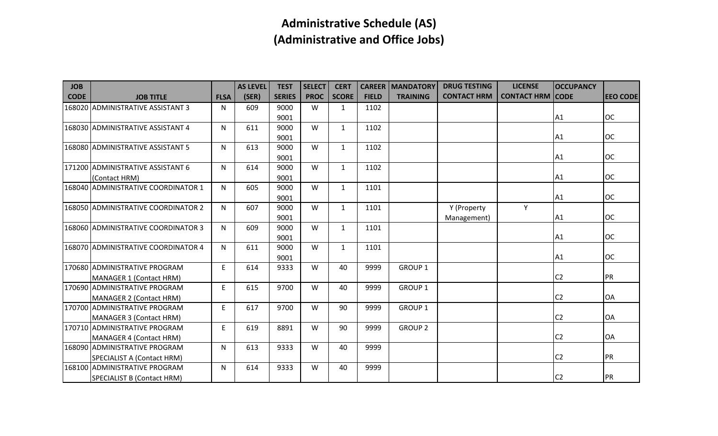| <b>JOB</b>  |                                     |             | <b>AS LEVEL</b> | <b>TEST</b>   | <b>SELECT</b> | <b>CERT</b>  | <b>CAREER</b> | <b>MANDATORY</b> | <b>DRUG TESTING</b> | <b>LICENSE</b>          | <b>OCCUPANCY</b> |                 |
|-------------|-------------------------------------|-------------|-----------------|---------------|---------------|--------------|---------------|------------------|---------------------|-------------------------|------------------|-----------------|
| <b>CODE</b> | <b>JOB TITLE</b>                    | <b>FLSA</b> | (SER)           | <b>SERIES</b> | <b>PROC</b>   | <b>SCORE</b> | <b>FIELD</b>  | <b>TRAINING</b>  | <b>CONTACT HRM</b>  | <b>CONTACT HRM CODE</b> |                  | <b>EEO CODE</b> |
|             | 168020 ADMINISTRATIVE ASSISTANT 3   | N           | 609             | 9000          | W             | $\mathbf{1}$ | 1102          |                  |                     |                         |                  |                 |
|             |                                     |             |                 | 9001          |               |              |               |                  |                     |                         | A1               | loc             |
|             | 168030 ADMINISTRATIVE ASSISTANT 4   | N           | 611             | 9000          | W             | $\mathbf{1}$ | 1102          |                  |                     |                         |                  |                 |
|             |                                     |             |                 | 9001          |               |              |               |                  |                     |                         | A <sub>1</sub>   | loc             |
|             | 168080 ADMINISTRATIVE ASSISTANT 5   | N           | 613             | 9000          | W             | $\mathbf{1}$ | 1102          |                  |                     |                         |                  |                 |
|             |                                     |             |                 | 9001          |               |              |               |                  |                     |                         | A <sub>1</sub>   | loc             |
|             | 171200 ADMINISTRATIVE ASSISTANT 6   | N.          | 614             | 9000          | W             | $\mathbf{1}$ | 1102          |                  |                     |                         |                  |                 |
|             | (Contact HRM)                       |             |                 | 9001          |               |              |               |                  |                     |                         | A1               | loc             |
|             | 168040 ADMINISTRATIVE COORDINATOR 1 | N           | 605             | 9000          | W             | $\mathbf{1}$ | 1101          |                  |                     |                         |                  |                 |
|             |                                     |             |                 | 9001          |               |              |               |                  |                     |                         | A1               | loc             |
|             | 168050 ADMINISTRATIVE COORDINATOR 2 | N           | 607             | 9000          | W             | $\mathbf{1}$ | 1101          |                  | Y (Property         | Y                       |                  |                 |
|             |                                     |             |                 | 9001          |               |              |               |                  | Management)         |                         | A <sub>1</sub>   | loc             |
|             | 168060 ADMINISTRATIVE COORDINATOR 3 | N           | 609             | 9000          | W             | $\mathbf{1}$ | 1101          |                  |                     |                         |                  |                 |
|             |                                     |             |                 | 9001          |               |              |               |                  |                     |                         | A <sub>1</sub>   | loc             |
|             | 168070 ADMINISTRATIVE COORDINATOR 4 | N           | 611             | 9000          | W             | $\mathbf{1}$ | 1101          |                  |                     |                         |                  |                 |
|             |                                     |             |                 | 9001          |               |              |               |                  |                     |                         | A1               | loc             |
|             | 170680 ADMINISTRATIVE PROGRAM       | E           | 614             | 9333          | W             | 40           | 9999          | <b>GROUP 1</b>   |                     |                         |                  |                 |
|             | MANAGER 1 (Contact HRM)             |             |                 |               |               |              |               |                  |                     |                         | C <sub>2</sub>   | <b>IPR</b>      |
|             | 170690 ADMINISTRATIVE PROGRAM       | E           | 615             | 9700          | W             | 40           | 9999          | <b>GROUP 1</b>   |                     |                         |                  |                 |
|             | MANAGER 2 (Contact HRM)             |             |                 |               |               |              |               |                  |                     |                         | C <sub>2</sub>   | <b>OA</b>       |
|             | 170700 ADMINISTRATIVE PROGRAM       | E           | 617             | 9700          | W             | 90           | 9999          | <b>GROUP 1</b>   |                     |                         |                  |                 |
|             | MANAGER 3 (Contact HRM)             |             |                 |               |               |              |               |                  |                     |                         | C <sub>2</sub>   | <b>OA</b>       |
|             | 170710 ADMINISTRATIVE PROGRAM       | E           | 619             | 8891          | W             | 90           | 9999          | <b>GROUP 2</b>   |                     |                         |                  |                 |
|             | MANAGER 4 (Contact HRM)             |             |                 |               |               |              |               |                  |                     |                         | C <sub>2</sub>   | OA              |
|             | 168090 ADMINISTRATIVE PROGRAM       | N           | 613             | 9333          | W             | 40           | 9999          |                  |                     |                         |                  |                 |
|             | SPECIALIST A (Contact HRM)          |             |                 |               |               |              |               |                  |                     |                         | C <sub>2</sub>   | <b>PR</b>       |
|             | 168100 ADMINISTRATIVE PROGRAM       | N           | 614             | 9333          | W             | 40           | 9999          |                  |                     |                         |                  |                 |
|             | SPECIALIST B (Contact HRM)          |             |                 |               |               |              |               |                  |                     |                         | C <sub>2</sub>   | <b>PR</b>       |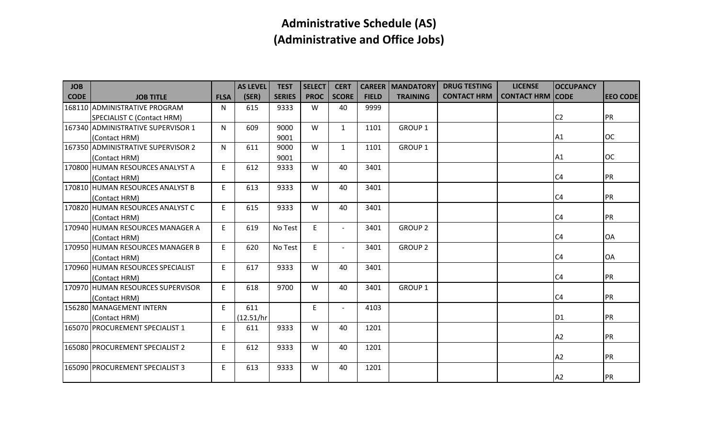| <b>JOB</b>  |                                    |             | <b>AS LEVEL</b> | <b>TEST</b>   | <b>SELECT</b> | <b>CERT</b>              |              | <b>CAREER   MANDATORY</b> | <b>DRUG TESTING</b> | <b>LICENSE</b>          | <b>OCCUPANCY</b> |                 |
|-------------|------------------------------------|-------------|-----------------|---------------|---------------|--------------------------|--------------|---------------------------|---------------------|-------------------------|------------------|-----------------|
| <b>CODE</b> | <b>JOB TITLE</b>                   | <b>FLSA</b> | (SER)           | <b>SERIES</b> | <b>PROC</b>   | <b>SCORE</b>             | <b>FIELD</b> | <b>TRAINING</b>           | <b>CONTACT HRM</b>  | <b>CONTACT HRM CODE</b> |                  | <b>EEO CODE</b> |
|             | 168110 ADMINISTRATIVE PROGRAM      | N           | 615             | 9333          | W             | 40                       | 9999         |                           |                     |                         |                  |                 |
|             | SPECIALIST C (Contact HRM)         |             |                 |               |               |                          |              |                           |                     |                         | C <sub>2</sub>   | <b>PR</b>       |
|             | 167340 ADMINISTRATIVE SUPERVISOR 1 | N           | 609             | 9000          | W             | $\mathbf{1}$             | 1101         | <b>GROUP 1</b>            |                     |                         |                  |                 |
|             | (Contact HRM)                      |             |                 | 9001          |               |                          |              |                           |                     |                         | A1               | loc             |
|             | 167350 ADMINISTRATIVE SUPERVISOR 2 | N           | 611             | 9000          | W             | $\mathbf{1}$             | 1101         | <b>GROUP 1</b>            |                     |                         |                  |                 |
|             | (Contact HRM)                      |             |                 | 9001          |               |                          |              |                           |                     |                         | A1               | loc             |
|             | 170800 HUMAN RESOURCES ANALYST A   | E           | 612             | 9333          | W             | 40                       | 3401         |                           |                     |                         |                  |                 |
|             | (Contact HRM)                      |             |                 |               |               |                          |              |                           |                     |                         | C <sub>4</sub>   | PR              |
|             | 170810 HUMAN RESOURCES ANALYST B   | E.          | 613             | 9333          | W             | 40                       | 3401         |                           |                     |                         |                  |                 |
|             | (Contact HRM)                      |             |                 |               |               |                          |              |                           |                     |                         | C <sub>4</sub>   | PR              |
|             | 170820 HUMAN RESOURCES ANALYST C   | E           | 615             | 9333          | W             | 40                       | 3401         |                           |                     |                         |                  |                 |
|             | (Contact HRM)                      |             |                 |               |               |                          |              |                           |                     |                         | C <sub>4</sub>   | <b>PR</b>       |
|             | 170940 HUMAN RESOURCES MANAGER A   | E.          | 619             | No Test       | E.            | $\overline{\phantom{a}}$ | 3401         | <b>GROUP 2</b>            |                     |                         |                  |                 |
|             | (Contact HRM)                      |             |                 |               |               |                          |              |                           |                     |                         | C <sub>4</sub>   | <b>OA</b>       |
|             | 170950 HUMAN RESOURCES MANAGER B   | E.          | 620             | No Test       | E             | $\blacksquare$           | 3401         | <b>GROUP 2</b>            |                     |                         |                  |                 |
|             | (Contact HRM)                      |             |                 |               |               |                          |              |                           |                     |                         | C <sub>4</sub>   | <b>OA</b>       |
|             | 170960 HUMAN RESOURCES SPECIALIST  | E.          | 617             | 9333          | W             | 40                       | 3401         |                           |                     |                         |                  |                 |
|             | (Contact HRM)                      |             |                 |               |               |                          |              |                           |                     |                         | C <sub>4</sub>   | <b>PR</b>       |
|             | 170970 HUMAN RESOURCES SUPERVISOR  | E           | 618             | 9700          | W             | 40                       | 3401         | <b>GROUP 1</b>            |                     |                         |                  |                 |
|             | (Contact HRM)                      |             |                 |               |               |                          |              |                           |                     |                         | C <sub>4</sub>   | PR              |
|             | 156280 MANAGEMENT INTERN           | E           | 611             |               | E             | $\overline{\phantom{a}}$ | 4103         |                           |                     |                         |                  |                 |
|             | (Contact HRM)                      |             | (12.51/hr)      |               |               |                          |              |                           |                     |                         | D <sub>1</sub>   | <b>PR</b>       |
|             | 165070 PROCUREMENT SPECIALIST 1    | E           | 611             | 9333          | W             | 40                       | 1201         |                           |                     |                         |                  |                 |
|             |                                    |             |                 |               |               |                          |              |                           |                     |                         | A2               | PR              |
|             | 165080 PROCUREMENT SPECIALIST 2    | E.          | 612             | 9333          | W             | 40                       | 1201         |                           |                     |                         |                  |                 |
|             |                                    |             |                 |               |               |                          |              |                           |                     |                         | A <sub>2</sub>   | <b>PR</b>       |
|             | 165090 PROCUREMENT SPECIALIST 3    | E           | 613             | 9333          | W             | 40                       | 1201         |                           |                     |                         |                  |                 |
|             |                                    |             |                 |               |               |                          |              |                           |                     |                         | A <sub>2</sub>   | <b>PR</b>       |